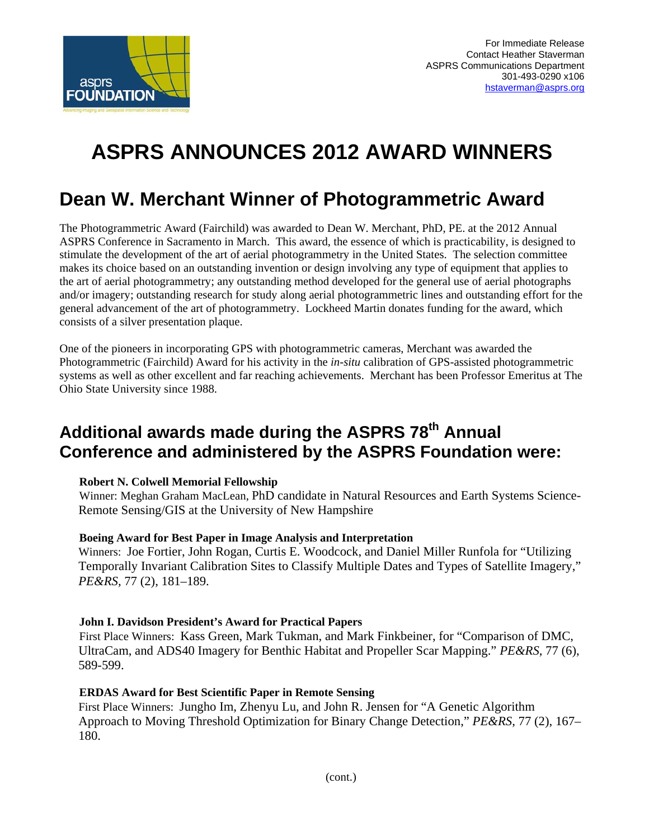

# **ASPRS ANNOUNCES 2012 AWARD WINNERS**

# **Dean W. Merchant Winner of Photogrammetric Award**

The Photogrammetric Award (Fairchild) was awarded to Dean W. Merchant, PhD, PE. at the 2012 Annual ASPRS Conference in Sacramento in March. This award, the essence of which is practicability, is designed to stimulate the development of the art of aerial photogrammetry in the United States. The selection committee makes its choice based on an outstanding invention or design involving any type of equipment that applies to the art of aerial photogrammetry; any outstanding method developed for the general use of aerial photographs and/or imagery; outstanding research for study along aerial photogrammetric lines and outstanding effort for the general advancement of the art of photogrammetry. Lockheed Martin donates funding for the award, which consists of a silver presentation plaque.

One of the pioneers in incorporating GPS with photogrammetric cameras, Merchant was awarded the Photogrammetric (Fairchild) Award for his activity in the *in-situ* calibration of GPS-assisted photogrammetric systems as well as other excellent and far reaching achievements. Merchant has been Professor Emeritus at The Ohio State University since 1988.

# Additional awards made during the ASPRS 78<sup>th</sup> Annual **Conference and administered by the ASPRS Foundation were:**

#### **Robert N. Colwell Memorial Fellowship**

 Winner: Meghan Graham MacLean, PhD candidate in Natural Resources and Earth Systems Science-Remote Sensing/GIS at the University of New Hampshire

#### **Boeing Award for Best Paper in Image Analysis and Interpretation**

Winners: Joe Fortier, John Rogan, Curtis E. Woodcock, and Daniel Miller Runfola for "Utilizing Temporally Invariant Calibration Sites to Classify Multiple Dates and Types of Satellite Imagery," *PE&RS,* 77 (2), 181–189.

# **John I. Davidson President's Award for Practical Papers**

 First Place Winners: Kass Green, Mark Tukman, and Mark Finkbeiner, for "Comparison of DMC, UltraCam, and ADS40 Imagery for Benthic Habitat and Propeller Scar Mapping." *PE&RS*, 77 (6), 589-599.

#### **ERDAS Award for Best Scientific Paper in Remote Sensing**

First Place Winners: Jungho Im, Zhenyu Lu, and John R. Jensen for "A Genetic Algorithm Approach to Moving Threshold Optimization for Binary Change Detection," *PE&RS*, 77 (2), 167– 180.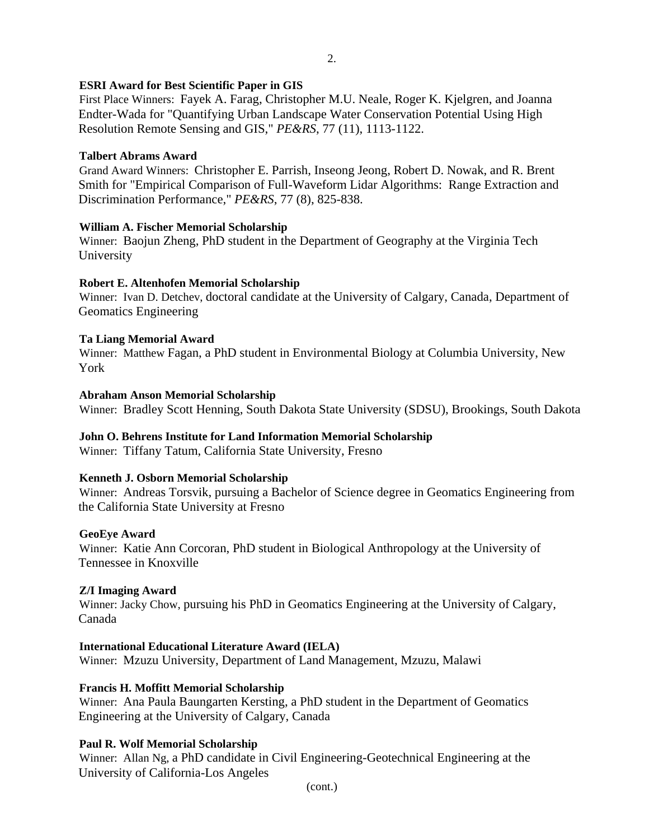### **ESRI Award for Best Scientific Paper in GIS**

 First Place Winners: Fayek A. Farag, Christopher M.U. Neale, Roger K. Kjelgren, and Joanna Endter-Wada for "Quantifying Urban Landscape Water Conservation Potential Using High Resolution Remote Sensing and GIS," *PE&RS*, 77 (11), 1113-1122.

#### **Talbert Abrams Award**

 Grand Award Winners: Christopher E. Parrish, Inseong Jeong, Robert D. Nowak, and R. Brent Smith for "Empirical Comparison of Full-Waveform Lidar Algorithms: Range Extraction and Discrimination Performance," *PE&RS*, 77 (8), 825-838.

# **William A. Fischer Memorial Scholarship**

 Winner: Baojun Zheng, PhD student in the Department of Geography at the Virginia Tech University

# **Robert E. Altenhofen Memorial Scholarship**

 Winner: Ivan D. Detchev, doctoral candidate at the University of Calgary, Canada, Department of Geomatics Engineering

# **Ta Liang Memorial Award**

 Winner: Matthew Fagan, a PhD student in Environmental Biology at Columbia University, New York

#### **Abraham Anson Memorial Scholarship**

Winner: Bradley Scott Henning, South Dakota State University (SDSU), Brookings, South Dakota

#### **John O. Behrens Institute for Land Information Memorial Scholarship**

Winner: Tiffany Tatum, California State University, Fresno

#### **Kenneth J. Osborn Memorial Scholarship**

 Winner: Andreas Torsvik, pursuing a Bachelor of Science degree in Geomatics Engineering from the California State University at Fresno

#### **GeoEye Award**

 Winner: Katie Ann Corcoran, PhD student in Biological Anthropology at the University of Tennessee in Knoxville

#### **Z/I Imaging Award**

 Winner: Jacky Chow, pursuing his PhD in Geomatics Engineering at the University of Calgary, Canada

#### **International Educational Literature Award (IELA)**

Winner: Mzuzu University, Department of Land Management, Mzuzu, Malawi

#### **Francis H. Moffitt Memorial Scholarship**

 Winner: Ana Paula Baungarten Kersting, a PhD student in the Department of Geomatics Engineering at the University of Calgary, Canada

#### **Paul R. Wolf Memorial Scholarship**

 Winner: Allan Ng, a PhD candidate in Civil Engineering-Geotechnical Engineering at the University of California-Los Angeles